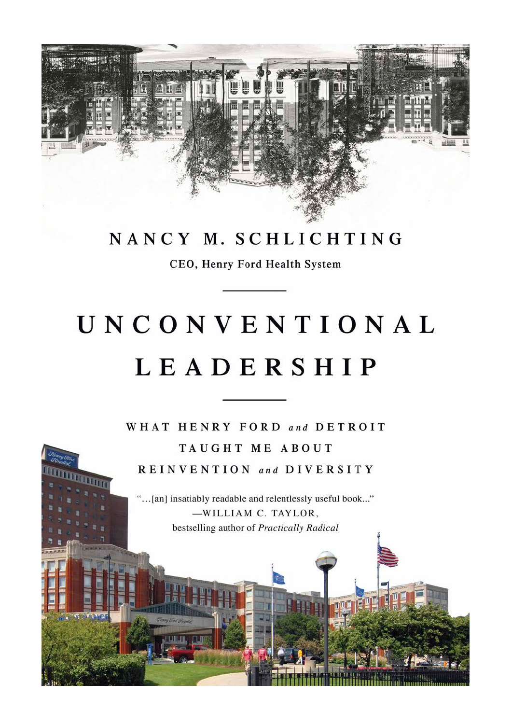NANCY M. SCHLICHTING

CEO, Henry Ford Health System

# UNCONVENTIONAL LEADERSHIP

WHAT HENRY FORD and DETROIT TAUGHT ME ABOUT REINVENTION and DIVERSITY

"...[an] insatiably readable and relentlessly useful book..." -WILLIAM C. TAYLOR. bestselling author of Practically Radical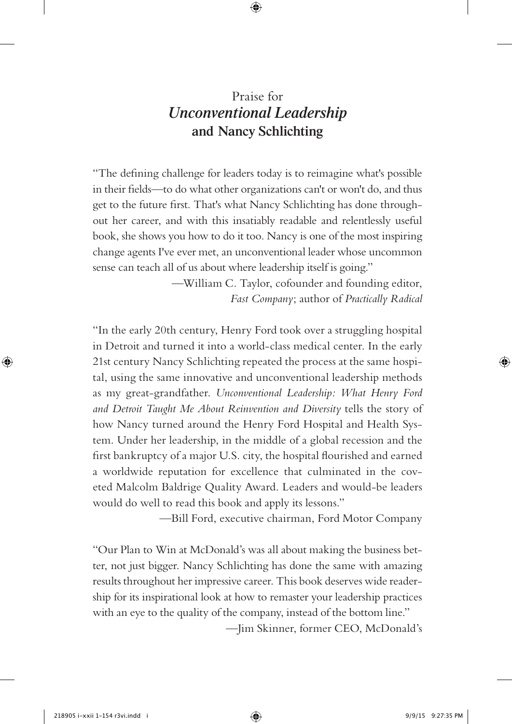## Praise for *Unconventional Leadership* **and Nancy Schlichting**

"The defining challenge for leaders today is to reimagine what's possible in their fields—to do what other organizations can't or won't do, and thus get to the future first. That's what Nancy Schlichting has done throughout her career, and with this insatiably readable and relentlessly useful book, she shows you how to do it too. Nancy is one of the most inspiring change agents I've ever met, an unconventional leader whose uncommon sense can teach all of us about where leadership itself is going."

> —William C. Taylor, cofounder and founding editor, *Fast Company*; author of *Practically Radical*

"In the early 20th century, Henry Ford took over a struggling hospital in Detroit and turned it into a world-class medical center. In the early 21st century Nancy Schlichting repeated the process at the same hospital, using the same innovative and unconventional leadership methods as my great-grandfather. *Unconventional Leadership: What Henry Ford and Detroit Taught Me About Reinvention and Diversity* tells the story of how Nancy turned around the Henry Ford Hospital and Health System. Under her leadership, in the middle of a global recession and the first bankruptcy of a major U.S. city, the hospital flourished and earned a worldwide reputation for excellence that culminated in the coveted Malcolm Baldrige Quality Award. Leaders and would-be leaders would do well to read this book and apply its lessons."

—Bill Ford, executive chairman, Ford Motor Company

"Our Plan to Win at McDonald's was all about making the business better, not just bigger. Nancy Schlichting has done the same with amazing results throughout her impressive career. This book deserves wide readership for its inspirational look at how to remaster your leadership practices with an eye to the quality of the company, instead of the bottom line."

—Jim Skinner, former CEO, McDonald's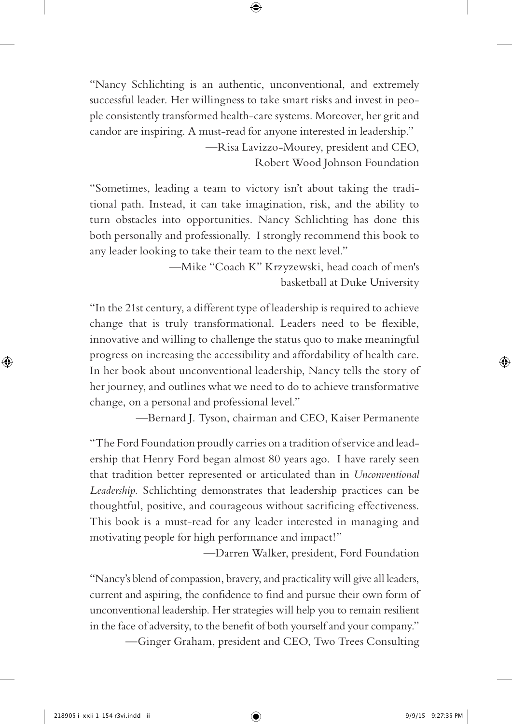"Nancy Schlichting is an authentic, unconventional, and extremely successful leader. Her willingness to take smart risks and invest in people consistently transformed health-care systems. Moreover, her grit and candor are inspiring. A must-read for anyone interested in leadership."

> —Risa Lavizzo-Mourey, president and CEO, Robert Wood Johnson Foundation

"Sometimes, leading a team to victory isn't about taking the traditional path. Instead, it can take imagination, risk, and the ability to turn obstacles into opportunities. Nancy Schlichting has done this both personally and professionally. I strongly recommend this book to any leader looking to take their team to the next level."

> —Mike "Coach K" Krzyzewski, head coach of men's basketball at Duke University

"In the 21st century, a different type of leadership is required to achieve change that is truly transformational. Leaders need to be flexible, innovative and willing to challenge the status quo to make meaningful progress on increasing the accessibility and affordability of health care. In her book about unconventional leadership, Nancy tells the story of her journey, and outlines what we need to do to achieve transformative change, on a personal and professional level."

—Bernard J. Tyson, chairman and CEO, Kaiser Permanente

"The Ford Foundation proudly carries on a tradition of service and leadership that Henry Ford began almost 80 years ago. I have rarely seen that tradition better represented or articulated than in *Unconventional Leadership.* Schlichting demonstrates that leadership practices can be thoughtful, positive, and courageous without sacrificing effectiveness. This book is a must-read for any leader interested in managing and motivating people for high performance and impact!"

—Darren Walker, president, Ford Foundation

"Nancy's blend of compassion, bravery, and practicality will give all leaders, current and aspiring, the confidence to find and pursue their own form of unconventional leadership. Her strategies will help you to remain resilient in the face of adversity, to the benefit of both yourself and your company."

—Ginger Graham, president and CEO, Two Trees Consulting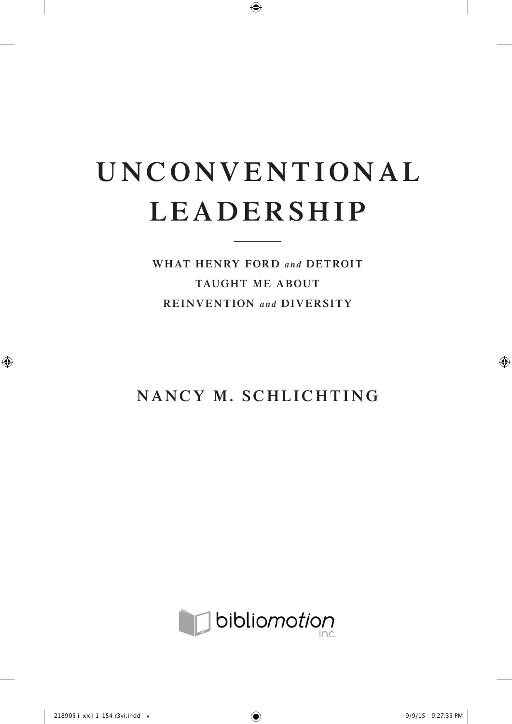# **U N C O N V E N T I O N A L L E A D E R S H I P**

WHAT HENRY FORD and DETROIT **Taught Me About REINVENTION** *and* DIVERSITY

**Nanc y M . S chlichtin g**

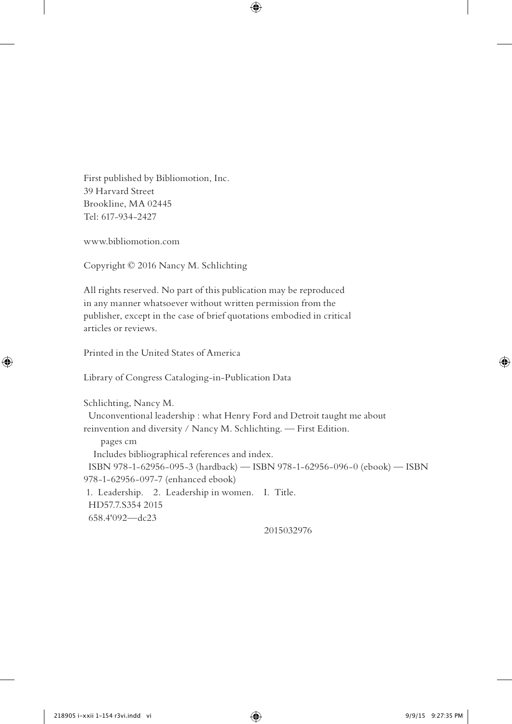First published by Bibliomotion, Inc. 39 Harvard Street Brookline, MA 02445 Tel: 617-934-2427

www.bibliomotion.com

Copyright © 2016 Nancy M. Schlichting

All rights reserved. No part of this publication may be reproduced in any manner whatsoever without written permission from the publisher, except in the case of brief quotations embodied in critical articles or reviews.

Printed in the United States of America

Library of Congress Cataloging-in-Publication Data

Schlichting, Nancy M. Unconventional leadership : what Henry Ford and Detroit taught me about reinvention and diversity / Nancy M. Schlichting. — First Edition. pages cm Includes bibliographical references and index. ISBN 978-1-62956-095-3 (hardback) — ISBN 978-1-62956-096-0 (ebook) — ISBN 978-1-62956-097-7 (enhanced ebook) 1. Leadership. 2. Leadership in women. I. Title. HD57.7.S354 2015 658.4'092—dc23

2015032976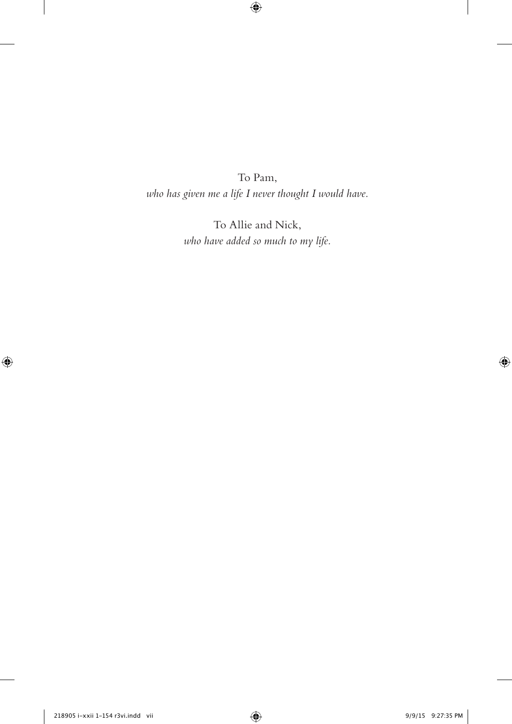## To Pam,

*who has given me a life I never thought I would have.*

To Allie and Nick, *who have added so much to my life.*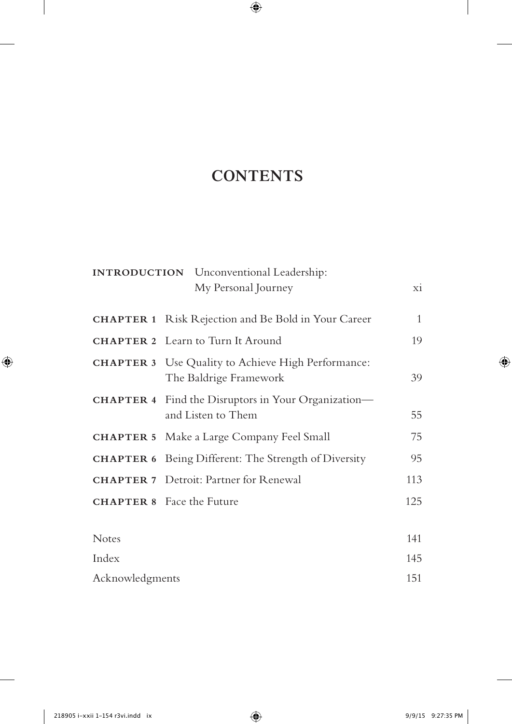## **Contents**

|                                  |                                                                                     | <b>INTRODUCTION</b> Unconventional Leadership:              |                 |
|----------------------------------|-------------------------------------------------------------------------------------|-------------------------------------------------------------|-----------------|
|                                  |                                                                                     | My Personal Journey                                         | $\overline{xi}$ |
|                                  |                                                                                     | <b>CHAPTER 1</b> Risk Rejection and Be Bold in Your Career  | $\mathbf{1}$    |
|                                  | <b>CHAPTER 2</b> Learn to Turn It Around                                            |                                                             |                 |
|                                  | <b>CHAPTER 3</b> Use Quality to Achieve High Performance:<br>The Baldrige Framework |                                                             | 39              |
|                                  | <b>CHAPTER 4</b> Find the Disruptors in Your Organization-<br>and Listen to Them    |                                                             | 55              |
|                                  | <b>CHAPTER 5</b> Make a Large Company Feel Small                                    |                                                             | 75              |
|                                  |                                                                                     | <b>CHAPTER 6</b> Being Different: The Strength of Diversity | 95              |
|                                  |                                                                                     | <b>CHAPTER 7</b> Detroit: Partner for Renewal               | 113             |
| <b>CHAPTER 8</b> Face the Future |                                                                                     |                                                             | 125             |
|                                  |                                                                                     |                                                             |                 |
| <b>Notes</b>                     |                                                                                     |                                                             | 141             |
| Index                            |                                                                                     |                                                             | 145             |
| Acknowledgments                  |                                                                                     |                                                             | 151             |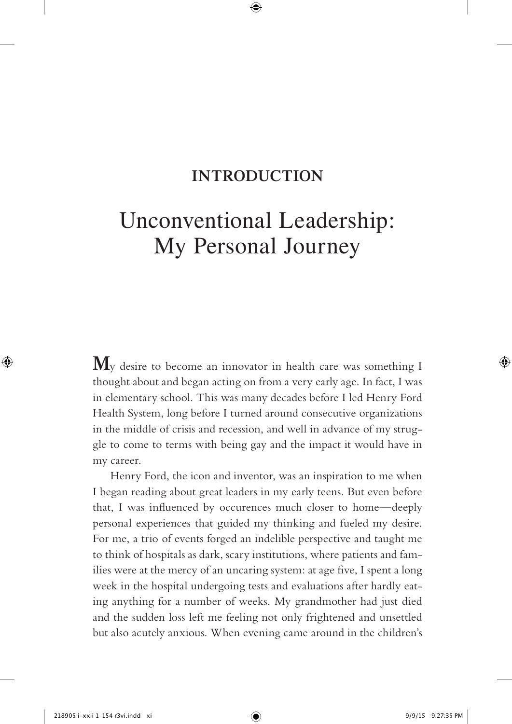## **Introduction**

## Unconventional Leadership: My Personal Journey

**M**y desire to become an innovator in health care was something I thought about and began acting on from a very early age. In fact, I was in elementary school. This was many decades before I led Henry Ford Health System, long before I turned around consecutive organizations in the middle of crisis and recession, and well in advance of my struggle to come to terms with being gay and the impact it would have in my career.

Henry Ford, the icon and inventor, was an inspiration to me when I began reading about great leaders in my early teens. But even before that, I was influenced by occurences much closer to home—deeply personal experiences that guided my thinking and fueled my desire. For me, a trio of events forged an indelible perspective and taught me to think of hospitals as dark, scary institutions, where patients and families were at the mercy of an uncaring system: at age five, I spent a long week in the hospital undergoing tests and evaluations after hardly eating anything for a number of weeks. My grandmother had just died and the sudden loss left me feeling not only frightened and unsettled but also acutely anxious. When evening came around in the children's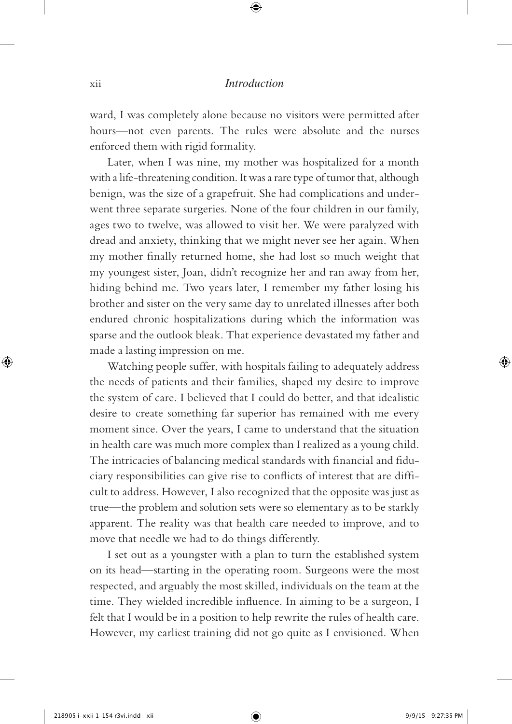### xii *Introduction*

ward, I was completely alone because no visitors were permitted after hours—not even parents. The rules were absolute and the nurses enforced them with rigid formality.

Later, when I was nine, my mother was hospitalized for a month with a life-threatening condition. It was a rare type of tumor that, although benign, was the size of a grapefruit. She had complications and underwent three separate surgeries. None of the four children in our family, ages two to twelve, was allowed to visit her. We were paralyzed with dread and anxiety, thinking that we might never see her again. When my mother finally returned home, she had lost so much weight that my youngest sister, Joan, didn't recognize her and ran away from her, hiding behind me. Two years later, I remember my father losing his brother and sister on the very same day to unrelated illnesses after both endured chronic hospitalizations during which the information was sparse and the outlook bleak. That experience devastated my father and made a lasting impression on me.

Watching people suffer, with hospitals failing to adequately address the needs of patients and their families, shaped my desire to improve the system of care. I believed that I could do better, and that idealistic desire to create something far superior has remained with me every moment since. Over the years, I came to understand that the situation in health care was much more complex than I realized as a young child. The intricacies of balancing medical standards with financial and fiduciary responsibilities can give rise to conflicts of interest that are difficult to address. However, I also recognized that the opposite was just as true—the problem and solution sets were so elementary as to be starkly apparent. The reality was that health care needed to improve, and to move that needle we had to do things differently.

I set out as a youngster with a plan to turn the established system on its head—starting in the operating room. Surgeons were the most respected, and arguably the most skilled, individuals on the team at the time. They wielded incredible influence. In aiming to be a surgeon, I felt that I would be in a position to help rewrite the rules of health care. However, my earliest training did not go quite as I envisioned. When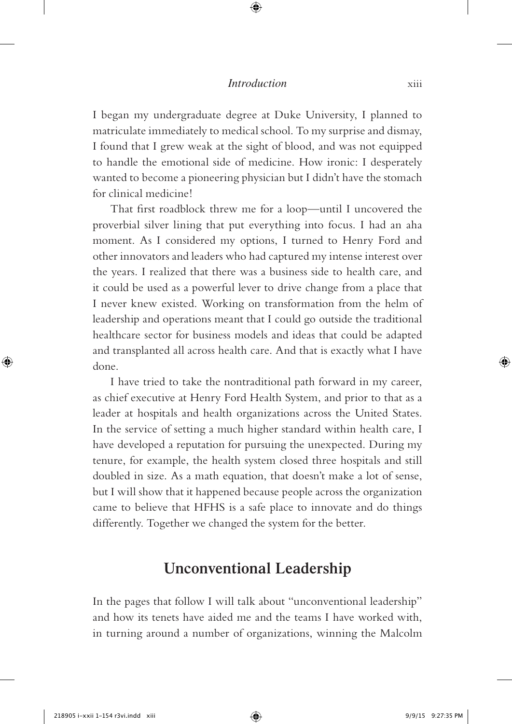### *Introduction* xiii

I began my undergraduate degree at Duke University, I planned to matriculate immediately to medical school. To my surprise and dismay, I found that I grew weak at the sight of blood, and was not equipped to handle the emotional side of medicine. How ironic: I desperately wanted to become a pioneering physician but I didn't have the stomach for clinical medicine!

That first roadblock threw me for a loop—until I uncovered the proverbial silver lining that put everything into focus. I had an aha moment. As I considered my options, I turned to Henry Ford and other innovators and leaders who had captured my intense interest over the years. I realized that there was a business side to health care, and it could be used as a powerful lever to drive change from a place that I never knew existed. Working on transformation from the helm of leadership and operations meant that I could go outside the traditional healthcare sector for business models and ideas that could be adapted and transplanted all across health care. And that is exactly what I have done.

I have tried to take the nontraditional path forward in my career, as chief executive at Henry Ford Health System, and prior to that as a leader at hospitals and health organizations across the United States. In the service of setting a much higher standard within health care, I have developed a reputation for pursuing the unexpected. During my tenure, for example, the health system closed three hospitals and still doubled in size. As a math equation, that doesn't make a lot of sense, but I will show that it happened because people across the organization came to believe that HFHS is a safe place to innovate and do things differently. Together we changed the system for the better.

## **Unconventional Leadership**

In the pages that follow I will talk about "unconventional leadership" and how its tenets have aided me and the teams I have worked with, in turning around a number of organizations, winning the Malcolm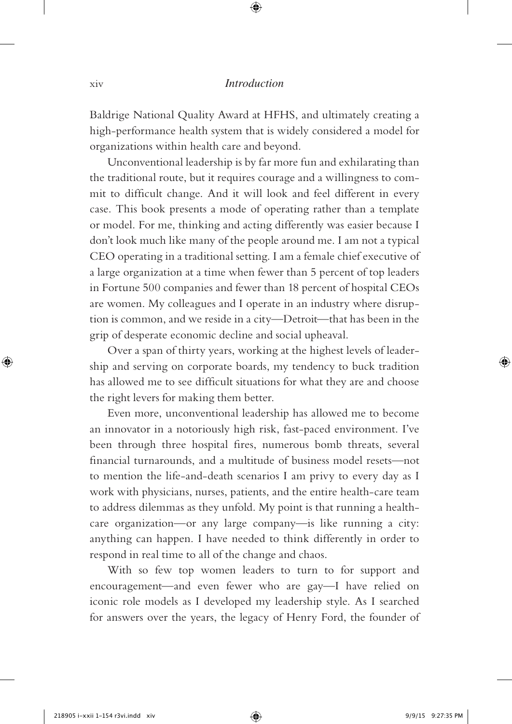#### xiv *Introduction*

Baldrige National Quality Award at HFHS, and ultimately creating a high-performance health system that is widely considered a model for organizations within health care and beyond.

Unconventional leadership is by far more fun and exhilarating than the traditional route, but it requires courage and a willingness to commit to difficult change. And it will look and feel different in every case. This book presents a mode of operating rather than a template or model. For me, thinking and acting differently was easier because I don't look much like many of the people around me. I am not a typical CEO operating in a traditional setting. I am a female chief executive of a large organization at a time when fewer than 5 percent of top leaders in Fortune 500 companies and fewer than 18 percent of hospital CEOs are women. My colleagues and I operate in an industry where disruption is common, and we reside in a city—Detroit—that has been in the grip of desperate economic decline and social upheaval.

Over a span of thirty years, working at the highest levels of leadership and serving on corporate boards, my tendency to buck tradition has allowed me to see difficult situations for what they are and choose the right levers for making them better.

Even more, unconventional leadership has allowed me to become an innovator in a notoriously high risk, fast-paced environment. I've been through three hospital fires, numerous bomb threats, several financial turnarounds, and a multitude of business model resets—not to mention the life-and-death scenarios I am privy to every day as I work with physicians, nurses, patients, and the entire health-care team to address dilemmas as they unfold. My point is that running a healthcare organization—or any large company—is like running a city: anything can happen. I have needed to think differently in order to respond in real time to all of the change and chaos.

With so few top women leaders to turn to for support and encouragement—and even fewer who are gay—I have relied on iconic role models as I developed my leadership style. As I searched for answers over the years, the legacy of Henry Ford, the founder of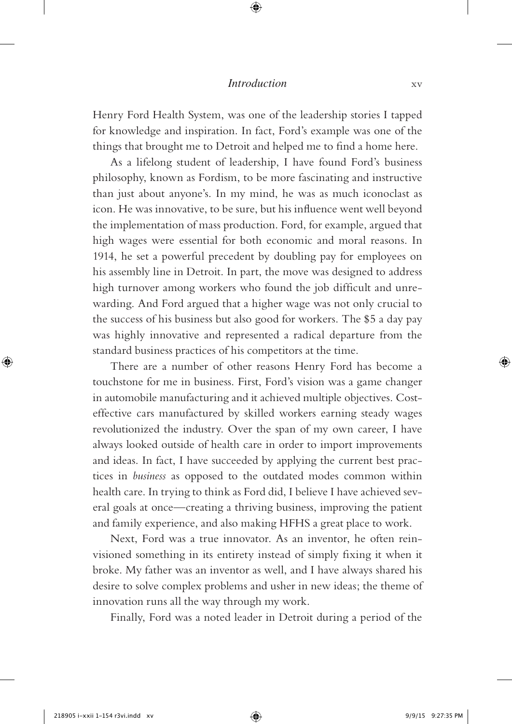### *Introduction* xv

Henry Ford Health System, was one of the leadership stories I tapped for knowledge and inspiration. In fact, Ford's example was one of the things that brought me to Detroit and helped me to find a home here.

As a lifelong student of leadership, I have found Ford's business philosophy, known as Fordism, to be more fascinating and instructive than just about anyone's. In my mind, he was as much iconoclast as icon. He was innovative, to be sure, but his influence went well beyond the implementation of mass production. Ford, for example, argued that high wages were essential for both economic and moral reasons. In 1914, he set a powerful precedent by doubling pay for employees on his assembly line in Detroit. In part, the move was designed to address high turnover among workers who found the job difficult and unrewarding. And Ford argued that a higher wage was not only crucial to the success of his business but also good for workers. The \$5 a day pay was highly innovative and represented a radical departure from the standard business practices of his competitors at the time.

There are a number of other reasons Henry Ford has become a touchstone for me in business. First, Ford's vision was a game changer in automobile manufacturing and it achieved multiple objectives. Costeffective cars manufactured by skilled workers earning steady wages revolutionized the industry. Over the span of my own career, I have always looked outside of health care in order to import improvements and ideas. In fact, I have succeeded by applying the current best practices in *business* as opposed to the outdated modes common within health care. In trying to think as Ford did, I believe I have achieved several goals at once—creating a thriving business, improving the patient and family experience, and also making HFHS a great place to work.

Next, Ford was a true innovator. As an inventor, he often reinvisioned something in its entirety instead of simply fixing it when it broke. My father was an inventor as well, and I have always shared his desire to solve complex problems and usher in new ideas; the theme of innovation runs all the way through my work.

Finally, Ford was a noted leader in Detroit during a period of the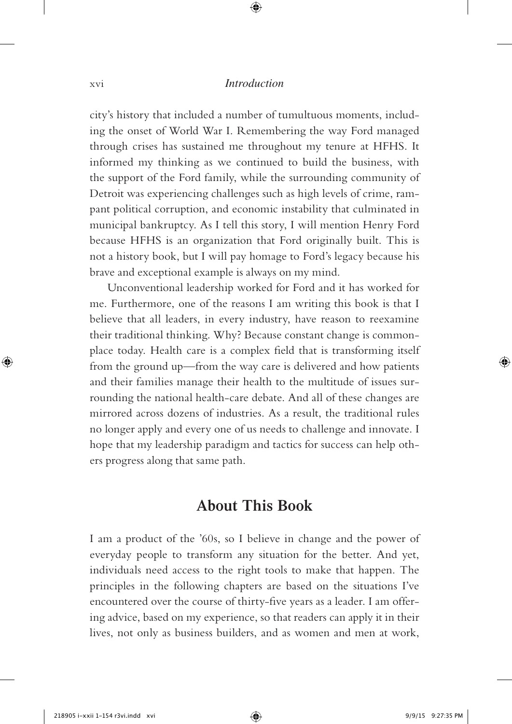#### xvi *Introduction*

city's history that included a number of tumultuous moments, including the onset of World War I. Remembering the way Ford managed through crises has sustained me throughout my tenure at HFHS. It informed my thinking as we continued to build the business, with the support of the Ford family, while the surrounding community of Detroit was experiencing challenges such as high levels of crime, rampant political corruption, and economic instability that culminated in municipal bankruptcy. As I tell this story, I will mention Henry Ford because HFHS is an organization that Ford originally built. This is not a history book, but I will pay homage to Ford's legacy because his brave and exceptional example is always on my mind.

Unconventional leadership worked for Ford and it has worked for me. Furthermore, one of the reasons I am writing this book is that I believe that all leaders, in every industry, have reason to reexamine their traditional thinking. Why? Because constant change is commonplace today. Health care is a complex field that is transforming itself from the ground up—from the way care is delivered and how patients and their families manage their health to the multitude of issues surrounding the national health-care debate. And all of these changes are mirrored across dozens of industries. As a result, the traditional rules no longer apply and every one of us needs to challenge and innovate. I hope that my leadership paradigm and tactics for success can help others progress along that same path.

## **About This Book**

I am a product of the '60s, so I believe in change and the power of everyday people to transform any situation for the better. And yet, individuals need access to the right tools to make that happen. The principles in the following chapters are based on the situations I've encountered over the course of thirty-five years as a leader. I am offering advice, based on my experience, so that readers can apply it in their lives, not only as business builders, and as women and men at work,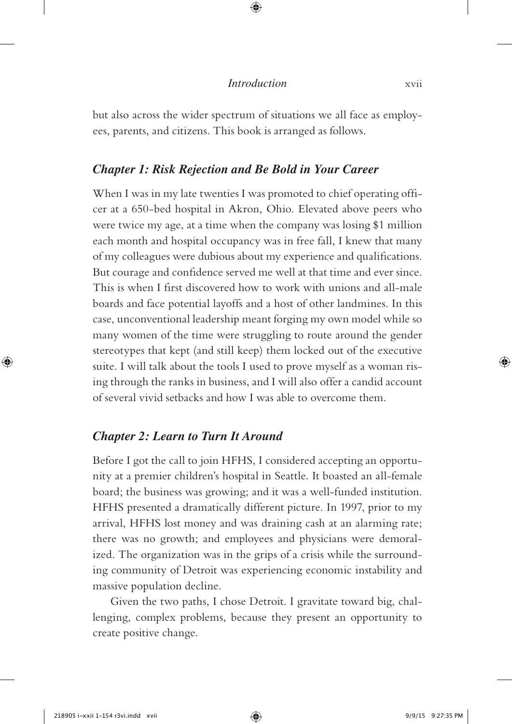but also across the wider spectrum of situations we all face as employees, parents, and citizens. This book is arranged as follows.

## *Chapter 1: Risk Rejection and Be Bold in Your Career*

When I was in my late twenties I was promoted to chief operating officer at a 650-bed hospital in Akron, Ohio. Elevated above peers who were twice my age, at a time when the company was losing \$1 million each month and hospital occupancy was in free fall, I knew that many of my colleagues were dubious about my experience and qualifications. But courage and confidence served me well at that time and ever since. This is when I first discovered how to work with unions and all-male boards and face potential layoffs and a host of other landmines. In this case, unconventional leadership meant forging my own model while so many women of the time were struggling to route around the gender stereotypes that kept (and still keep) them locked out of the executive suite. I will talk about the tools I used to prove myself as a woman rising through the ranks in business, and I will also offer a candid account of several vivid setbacks and how I was able to overcome them.

## *Chapter 2: Learn to Turn It Around*

Before I got the call to join HFHS, I considered accepting an opportunity at a premier children's hospital in Seattle. It boasted an all-female board; the business was growing; and it was a well-funded institution. HFHS presented a dramatically different picture. In 1997, prior to my arrival, HFHS lost money and was draining cash at an alarming rate; there was no growth; and employees and physicians were demoralized. The organization was in the grips of a crisis while the surrounding community of Detroit was experiencing economic instability and massive population decline.

Given the two paths, I chose Detroit. I gravitate toward big, challenging, complex problems, because they present an opportunity to create positive change.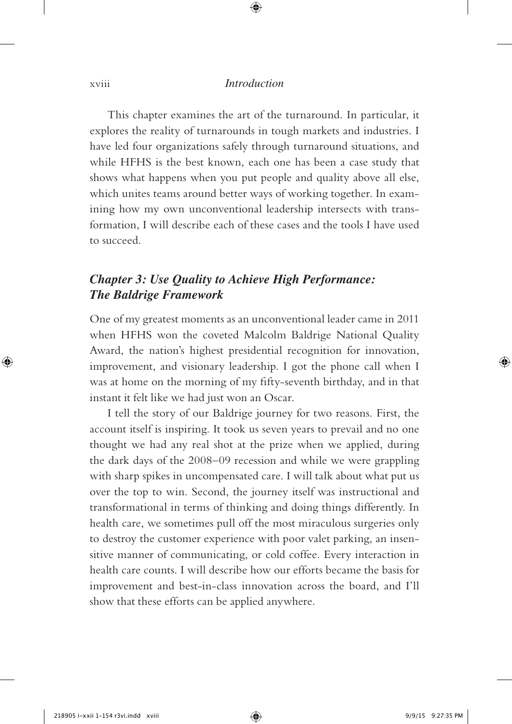#### xviii *Introduction*

This chapter examines the art of the turnaround. In particular, it explores the reality of turnarounds in tough markets and industries. I have led four organizations safely through turnaround situations, and while HFHS is the best known, each one has been a case study that shows what happens when you put people and quality above all else, which unites teams around better ways of working together. In examining how my own unconventional leadership intersects with transformation, I will describe each of these cases and the tools I have used to succeed.

## *Chapter 3: Use Quality to Achieve High Performance: The Baldrige Framework*

One of my greatest moments as an unconventional leader came in 2011 when HFHS won the coveted Malcolm Baldrige National Quality Award, the nation's highest presidential recognition for innovation, improvement, and visionary leadership. I got the phone call when I was at home on the morning of my fifty-seventh birthday, and in that instant it felt like we had just won an Oscar.

I tell the story of our Baldrige journey for two reasons. First, the account itself is inspiring. It took us seven years to prevail and no one thought we had any real shot at the prize when we applied, during the dark days of the 2008–09 recession and while we were grappling with sharp spikes in uncompensated care. I will talk about what put us over the top to win. Second, the journey itself was instructional and transformational in terms of thinking and doing things differently. In health care, we sometimes pull off the most miraculous surgeries only to destroy the customer experience with poor valet parking, an insensitive manner of communicating, or cold coffee. Every interaction in health care counts. I will describe how our efforts became the basis for improvement and best-in-class innovation across the board, and I'll show that these efforts can be applied anywhere.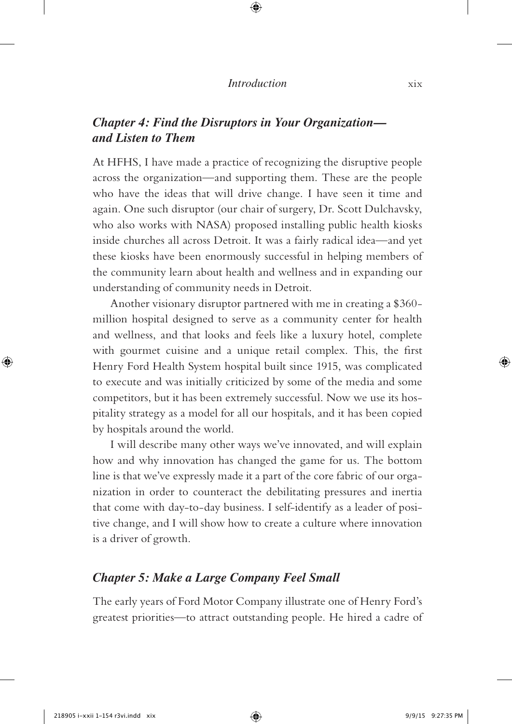## *Chapter 4: Find the Disruptors in Your Organization and Listen to Them*

At HFHS, I have made a practice of recognizing the disruptive people across the organization—and supporting them. These are the people who have the ideas that will drive change. I have seen it time and again. One such disruptor (our chair of surgery, Dr. Scott Dulchavsky, who also works with NASA) proposed installing public health kiosks inside churches all across Detroit. It was a fairly radical idea—and yet these kiosks have been enormously successful in helping members of the community learn about health and wellness and in expanding our understanding of community needs in Detroit.

Another visionary disruptor partnered with me in creating a \$360 million hospital designed to serve as a community center for health and wellness, and that looks and feels like a luxury hotel, complete with gourmet cuisine and a unique retail complex. This, the first Henry Ford Health System hospital built since 1915, was complicated to execute and was initially criticized by some of the media and some competitors, but it has been extremely successful. Now we use its hospitality strategy as a model for all our hospitals, and it has been copied by hospitals around the world.

I will describe many other ways we've innovated, and will explain how and why innovation has changed the game for us. The bottom line is that we've expressly made it a part of the core fabric of our organization in order to counteract the debilitating pressures and inertia that come with day-to-day business. I self-identify as a leader of positive change, and I will show how to create a culture where innovation is a driver of growth.

## *Chapter 5: Make a Large Company Feel Small*

The early years of Ford Motor Company illustrate one of Henry Ford's greatest priorities—to attract outstanding people. He hired a cadre of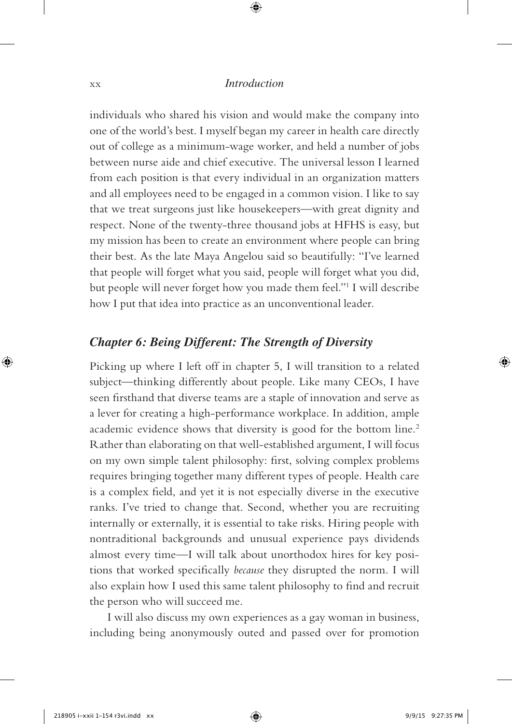#### xx *Introduction*

individuals who shared his vision and would make the company into one of the world's best. I myself began my career in health care directly out of college as a minimum-wage worker, and held a number of jobs between nurse aide and chief executive. The universal lesson I learned from each position is that every individual in an organization matters and all employees need to be engaged in a common vision. I like to say that we treat surgeons just like housekeepers—with great dignity and respect. None of the twenty-three thousand jobs at HFHS is easy, but my mission has been to create an environment where people can bring their best. As the late Maya Angelou said so beautifully: "I've learned that people will forget what you said, people will forget what you did, but people will never forget how you made them feel."1 I will describe how I put that idea into practice as an unconventional leader.

## *Chapter 6: Being Different: The Strength of Diversity*

Picking up where I left off in chapter 5, I will transition to a related subject—thinking differently about people. Like many CEOs, I have seen firsthand that diverse teams are a staple of innovation and serve as a lever for creating a high-performance workplace. In addition, ample academic evidence shows that diversity is good for the bottom line.<sup>2</sup> Rather than elaborating on that well-established argument, I will focus on my own simple talent philosophy: first, solving complex problems requires bringing together many different types of people. Health care is a complex field, and yet it is not especially diverse in the executive ranks. I've tried to change that. Second, whether you are recruiting internally or externally, it is essential to take risks. Hiring people with nontraditional backgrounds and unusual experience pays dividends almost every time—I will talk about unorthodox hires for key positions that worked specifically *because* they disrupted the norm. I will also explain how I used this same talent philosophy to find and recruit the person who will succeed me.

I will also discuss my own experiences as a gay woman in business, including being anonymously outed and passed over for promotion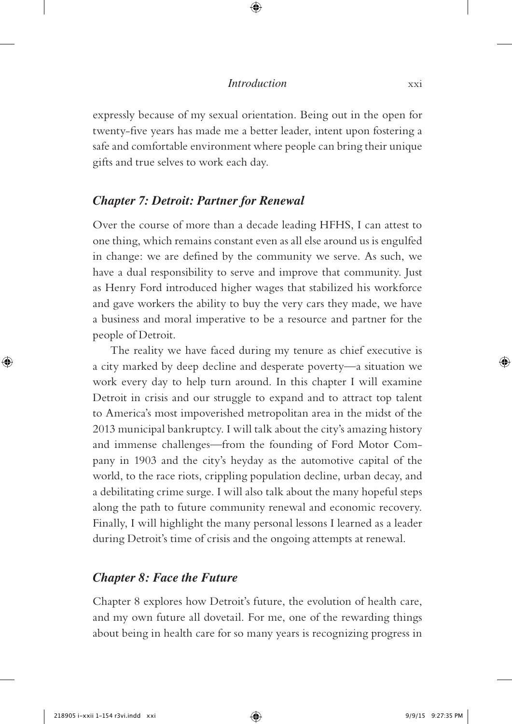expressly because of my sexual orientation. Being out in the open for twenty-five years has made me a better leader, intent upon fostering a safe and comfortable environment where people can bring their unique gifts and true selves to work each day.

## *Chapter 7: Detroit: Partner for Renewal*

Over the course of more than a decade leading HFHS, I can attest to one thing, which remains constant even as all else around us is engulfed in change: we are defined by the community we serve. As such, we have a dual responsibility to serve and improve that community. Just as Henry Ford introduced higher wages that stabilized his workforce and gave workers the ability to buy the very cars they made, we have a business and moral imperative to be a resource and partner for the people of Detroit.

The reality we have faced during my tenure as chief executive is a city marked by deep decline and desperate poverty—a situation we work every day to help turn around. In this chapter I will examine Detroit in crisis and our struggle to expand and to attract top talent to America's most impoverished metropolitan area in the midst of the 2013 municipal bankruptcy. I will talk about the city's amazing history and immense challenges—from the founding of Ford Motor Company in 1903 and the city's heyday as the automotive capital of the world, to the race riots, crippling population decline, urban decay, and a debilitating crime surge. I will also talk about the many hopeful steps along the path to future community renewal and economic recovery. Finally, I will highlight the many personal lessons I learned as a leader during Detroit's time of crisis and the ongoing attempts at renewal.

## *Chapter 8: Face the Future*

Chapter 8 explores how Detroit's future, the evolution of health care, and my own future all dovetail. For me, one of the rewarding things about being in health care for so many years is recognizing progress in